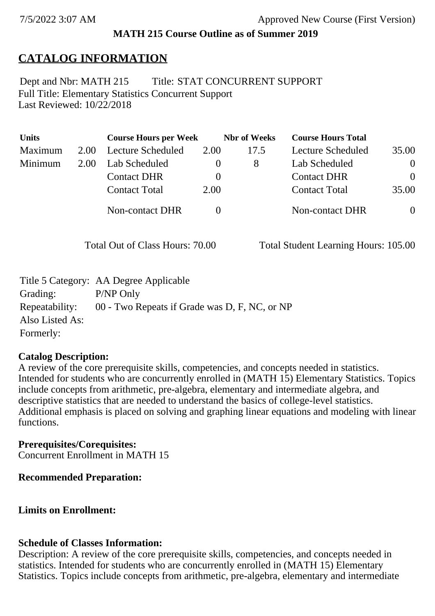## **MATH 215 Course Outline as of Summer 2019**

# **CATALOG INFORMATION**

Full Title: Elementary Statistics Concurrent Support Last Reviewed: 10/22/2018 Dept and Nbr: MATH 215 Title: STAT CONCURRENT SUPPORT

| <b>Units</b> |      | <b>Course Hours per Week</b> |          | <b>Nbr</b> of Weeks | <b>Course Hours Total</b> |                |
|--------------|------|------------------------------|----------|---------------------|---------------------------|----------------|
| Maximum      | 2.00 | Lecture Scheduled            | 2.00     | 17.5                | Lecture Scheduled         | 35.00          |
| Minimum      | 2.00 | Lab Scheduled                | $\theta$ | 8                   | Lab Scheduled             | $\overline{0}$ |
|              |      | <b>Contact DHR</b>           | $\theta$ |                     | <b>Contact DHR</b>        | $\Omega$       |
|              |      | <b>Contact Total</b>         | 2.00     |                     | <b>Contact Total</b>      | 35.00          |
|              |      | Non-contact DHR              |          |                     | <b>Non-contact DHR</b>    | $\overline{0}$ |

Total Out of Class Hours: 70.00 Total Student Learning Hours: 105.00

|                 | Title 5 Category: AA Degree Applicable        |
|-----------------|-----------------------------------------------|
| Grading:        | P/NP Only                                     |
| Repeatability:  | 00 - Two Repeats if Grade was D, F, NC, or NP |
| Also Listed As: |                                               |
| Formerly:       |                                               |

### **Catalog Description:**

A review of the core prerequisite skills, competencies, and concepts needed in statistics. Intended for students who are concurrently enrolled in (MATH 15) Elementary Statistics. Topics include concepts from arithmetic, pre-algebra, elementary and intermediate algebra, and descriptive statistics that are needed to understand the basics of college-level statistics. Additional emphasis is placed on solving and graphing linear equations and modeling with linear functions.

# **Prerequisites/Corequisites:**

Concurrent Enrollment in MATH 15

# **Recommended Preparation:**

# **Limits on Enrollment:**

### **Schedule of Classes Information:**

Description: A review of the core prerequisite skills, competencies, and concepts needed in statistics. Intended for students who are concurrently enrolled in (MATH 15) Elementary Statistics. Topics include concepts from arithmetic, pre-algebra, elementary and intermediate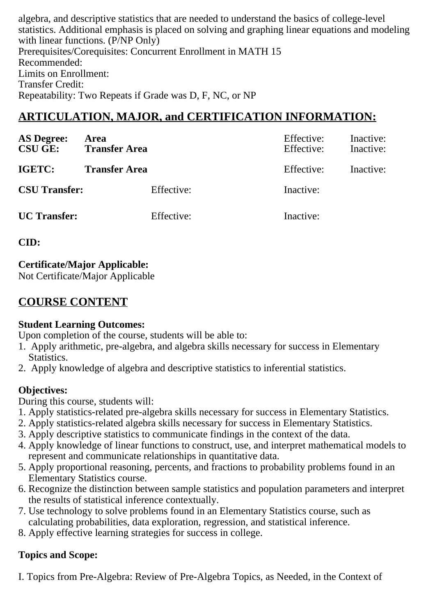algebra, and descriptive statistics that are needed to understand the basics of college-level statistics. Additional emphasis is placed on solving and graphing linear equations and modeling with linear functions. (P/NP Only) Prerequisites/Corequisites: Concurrent Enrollment in MATH 15 Recommended: Limits on Enrollment: Transfer Credit: Repeatability: Two Repeats if Grade was D, F, NC, or NP

# **ARTICULATION, MAJOR, and CERTIFICATION INFORMATION:**

| <b>AS Degree:</b><br><b>CSU GE:</b> | Area<br><b>Transfer Area</b> |            | Effective:<br>Effective: | Inactive:<br>Inactive: |
|-------------------------------------|------------------------------|------------|--------------------------|------------------------|
| IGETC:                              | <b>Transfer Area</b>         |            | Effective:               | Inactive:              |
| <b>CSU Transfer:</b>                |                              | Effective: | Inactive:                |                        |
| <b>UC</b> Transfer:                 |                              | Effective: | Inactive:                |                        |

**CID:**

**Certificate/Major Applicable:** 

[Not Certificate/Major Applicable](SR_ClassCheck.aspx?CourseKey=MATH215)

# **COURSE CONTENT**

#### **Student Learning Outcomes:**

Upon completion of the course, students will be able to:

- 1. Apply arithmetic, pre-algebra, and algebra skills necessary for success in Elementary Statistics.
- 2. Apply knowledge of algebra and descriptive statistics to inferential statistics.

### **Objectives:**

During this course, students will:

- 1. Apply statistics-related pre-algebra skills necessary for success in Elementary Statistics.
- 2. Apply statistics-related algebra skills necessary for success in Elementary Statistics.
- 3. Apply descriptive statistics to communicate findings in the context of the data.
- 4. Apply knowledge of linear functions to construct, use, and interpret mathematical models to represent and communicate relationships in quantitative data.
- 5. Apply proportional reasoning, percents, and fractions to probability problems found in an Elementary Statistics course.
- 6. Recognize the distinction between sample statistics and population parameters and interpret the results of statistical inference contextually.
- 7. Use technology to solve problems found in an Elementary Statistics course, such as calculating probabilities, data exploration, regression, and statistical inference.
- 8. Apply effective learning strategies for success in college.

# **Topics and Scope:**

I. Topics from Pre-Algebra: Review of Pre-Algebra Topics, as Needed, in the Context of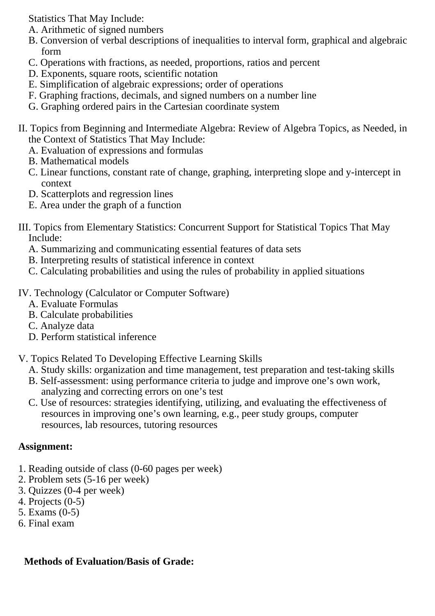Statistics That May Include:

- A. Arithmetic of signed numbers
- B. Conversion of verbal descriptions of inequalities to interval form, graphical and algebraic form
- C. Operations with fractions, as needed, proportions, ratios and percent
- D. Exponents, square roots, scientific notation
- E. Simplification of algebraic expressions; order of operations
- F. Graphing fractions, decimals, and signed numbers on a number line
- G. Graphing ordered pairs in the Cartesian coordinate system
- II. Topics from Beginning and Intermediate Algebra: Review of Algebra Topics, as Needed, in the Context of Statistics That May Include:
	- A. Evaluation of expressions and formulas
	- B. Mathematical models
	- C. Linear functions, constant rate of change, graphing, interpreting slope and y-intercept in context
	- D. Scatterplots and regression lines
	- E. Area under the graph of a function
- III. Topics from Elementary Statistics: Concurrent Support for Statistical Topics That May Include:
	- A. Summarizing and communicating essential features of data sets
	- B. Interpreting results of statistical inference in context
	- C. Calculating probabilities and using the rules of probability in applied situations
- IV. Technology (Calculator or Computer Software)
	- A. Evaluate Formulas
	- B. Calculate probabilities
	- C. Analyze data
	- D. Perform statistical inference
- V. Topics Related To Developing Effective Learning Skills
	- A. Study skills: organization and time management, test preparation and test-taking skills
	- B. Self-assessment: using performance criteria to judge and improve one's own work, analyzing and correcting errors on one's test
	- C. Use of resources: strategies identifying, utilizing, and evaluating the effectiveness of resources in improving one's own learning, e.g., peer study groups, computer resources, lab resources, tutoring resources

#### **Assignment:**

- 1. Reading outside of class (0-60 pages per week)
- 2. Problem sets (5-16 per week)
- 3. Quizzes (0-4 per week)
- 4. Projects (0-5)
- 5. Exams (0-5)
- 6. Final exam

### **Methods of Evaluation/Basis of Grade:**